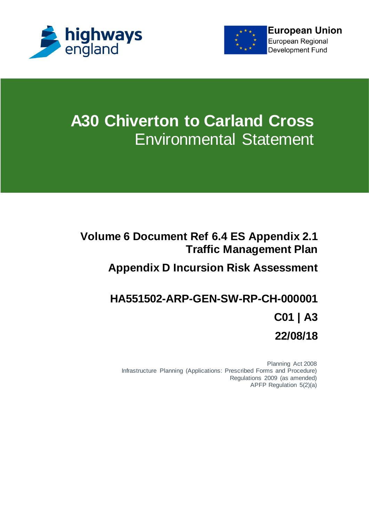



# **A30 Chiverton to Carland Cross** Environmental Statement

#### **Volume 6 Document Ref 6.4 ES Appendix 2.1 Traffic Management Plan**

### **Appendix D Incursion Risk Assessment**

## **HA551502-ARP-GEN-SW-RP-CH-000001 C01 | A3 22/08/18**

Planning Act 2008 Infrastructure Planning (Applications: Prescribed Forms and Procedure) Regulations 2009 (as amended) APFP Regulation 5(2)(a)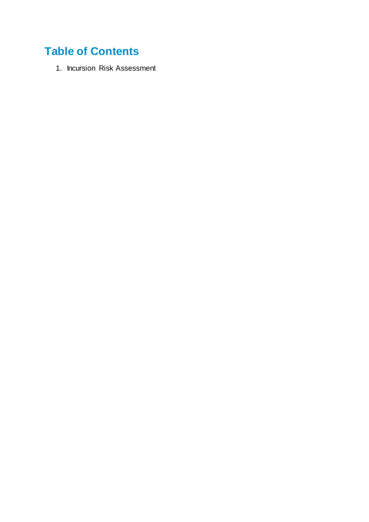### **Table of Contents**

1. Incursion Risk Assessment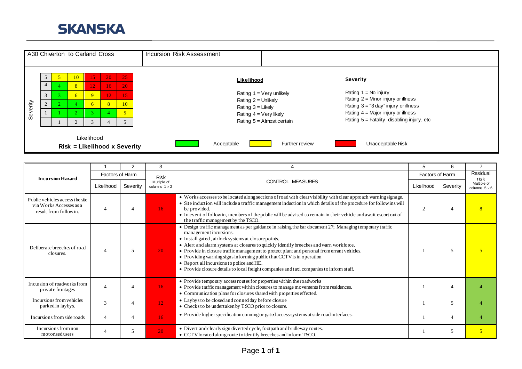



|                                                                                     |                          | $\mathfrak{p}$ | 3                                   | 4                                                                                                                                                                                                                                                                                                                                                                                                                                                                                                                                                                                                 | 5                           | 6              | $\overline{ }$                      |
|-------------------------------------------------------------------------------------|--------------------------|----------------|-------------------------------------|---------------------------------------------------------------------------------------------------------------------------------------------------------------------------------------------------------------------------------------------------------------------------------------------------------------------------------------------------------------------------------------------------------------------------------------------------------------------------------------------------------------------------------------------------------------------------------------------------|-----------------------------|----------------|-------------------------------------|
| <b>Incursion Hazard</b>                                                             | Factors of Harm          |                | <b>Risk</b>                         |                                                                                                                                                                                                                                                                                                                                                                                                                                                                                                                                                                                                   | Factors of Harm             |                | Residual<br>risk                    |
|                                                                                     | Likelihood               | Severity       | Multiple of<br>columns $1 \times 2$ | <b>CONTROL MEASURES</b>                                                                                                                                                                                                                                                                                                                                                                                                                                                                                                                                                                           | Likelihood                  | Severity       | Multiple of<br>columns $5 \times 6$ |
| Public vehicles access the site<br>via Works Accesses as a<br>result from followin. | $\overline{4}$           |                | 16 <sup>1</sup>                     | • Works accesses to be located along sections of road with clear visibility with clear approach warning signage.<br>• Site induction will include a traffic management induction in which details of the procedure for follow ins will<br>be provided.<br>• In event of followin, members of the public will be advised to remain in their vehicle and await escort out of<br>the traffic management by the TSCO.                                                                                                                                                                                 | $\mathcal{D}_{\mathcal{L}}$ |                |                                     |
| Deliberate breeches of road<br>closures.                                            | $\boldsymbol{\varDelta}$ |                | 20 <sup>°</sup>                     | • Design traffic management as per guidance in raising the bar document 27; Managing temporary traffic<br>management incursions.<br>• Install gated, airlock systems at closure points.<br>• Alert and alarm systems at closures to quickly identify breeches and warn workforce.<br>• Provide in closure traffic management to protect plant and personal from errant vehicles.<br>• Providing warning signs informing public that CCTV is in operation<br>• Report all incursions to police and HE.<br>• Provide closure details to local freight companies and taxi companies to inform staff. |                             | 5              |                                     |
| Incursion of roadworks from<br>private frontages                                    | $\overline{4}$           |                | 16 <sup>2</sup>                     | • Provide temporary access routes for properties within the roadworks<br>• Provide traffic management within closures to manage movements from residences.<br>• Communication plans for closures shared with properties effected.                                                                                                                                                                                                                                                                                                                                                                 |                             | $\overline{A}$ |                                     |
| Incursions from vehicles<br>parked in laybys.                                       | 3                        |                | 12                                  | • Laybys to be closed and conned day before closure<br>• Checks to be undertaken by TSCO prior to closure.                                                                                                                                                                                                                                                                                                                                                                                                                                                                                        |                             | 5              |                                     |
| Incursions from side roads                                                          | $\overline{4}$           |                | 16 <sup>°</sup>                     | • Provide higher specification conning or gated access systems at side road interfaces.                                                                                                                                                                                                                                                                                                                                                                                                                                                                                                           |                             | 4              |                                     |
| Incursions from non<br>motorised users                                              | 4                        |                | 20 <sup>°</sup>                     | • Divert and clearly sign diverted cycle, footpath and bridleway routes.<br>• CCT V located along route to identify breeches and inform TSCO.                                                                                                                                                                                                                                                                                                                                                                                                                                                     |                             | 5              | $\overline{5}$                      |